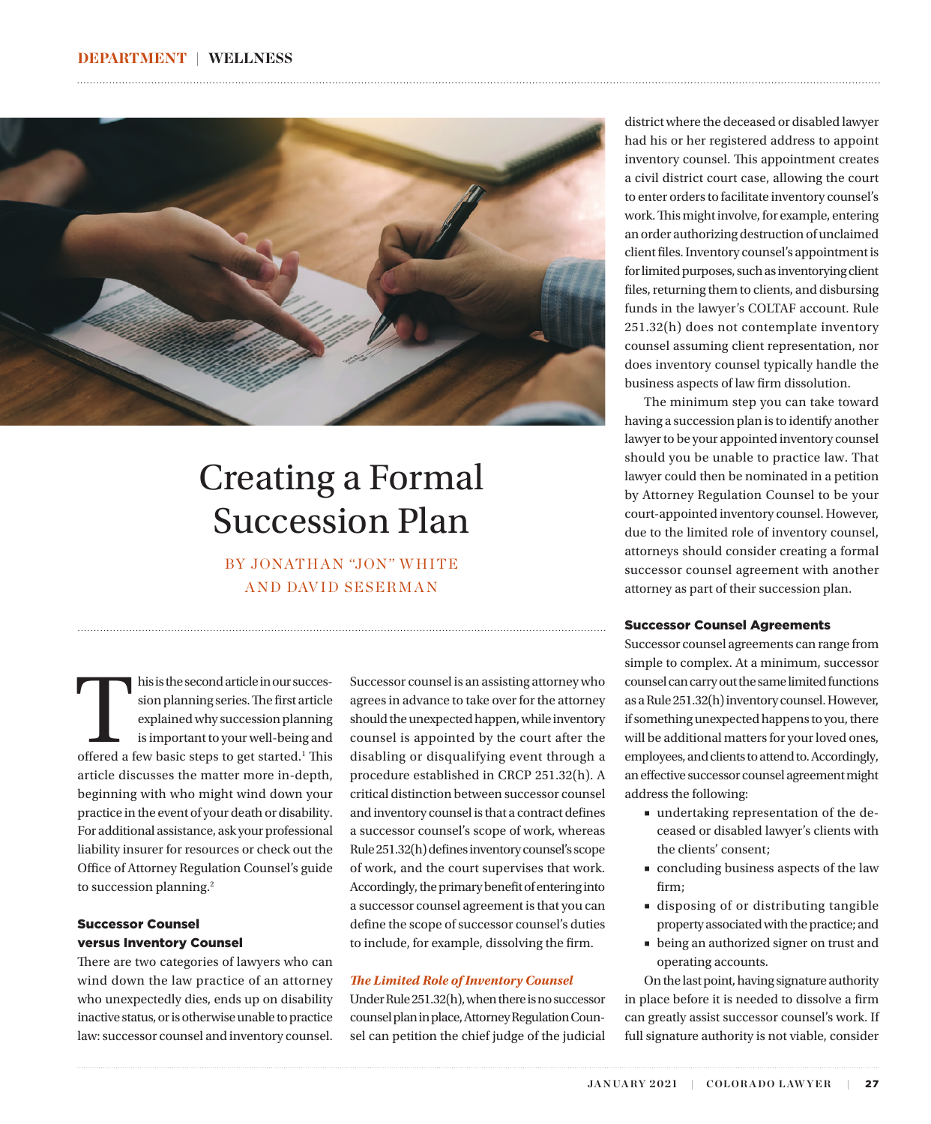<span id="page-0-0"></span>

## Creating a Formal Succession Plan

BY JONATHAN "JON" WHITE AND DAVID SESERMAN

his is the second article in our succession planning series. The first article explained why succession planning is important to your well-being and offered a few basic steps to get started.<sup>1</sup> This sion planning series. The first article explained why succession planning is important to your well-being and article discusses the matter more in-depth, beginning with who might wind down your practice in the event of your death or disability. For additional assistance, ask your professional liability insurer for resources or check out the Office of Attorney Regulation Counsel's guide to succession planning.<sup>2</sup>

### Successor Counsel versus Inventory Counsel

There are two categories of lawyers who can wind down the law practice of an attorney who unexpectedly dies, ends up on disability inactive status, or is otherwise unable to practice law: successor counsel and inventory counsel. Successor counsel is an assisting attorney who agrees in advance to take over for the attorney should the unexpected happen, while inventory counsel is appointed by the court after the disabling or disqualifying event through a procedure established in CRCP 251.32(h). A critical distinction between successor counsel and inventory counsel is that a contract defines a successor counsel's scope of work, whereas Rule 251.32(h) defines inventory counsel's scope of work, and the court supervises that work. Accordingly, the primary benefit of entering into a successor counsel agreement is that you can define the scope of successor counsel's duties to include, for example, dissolving the firm.

### *The Limited Role of Inventory Counsel*

Under Rule 251.32(h), when there is no successor counsel plan in place, Attorney Regulation Counsel can petition the chief judge of the judicial

district where the deceased or disabled lawyer had his or her registered address to appoint inventory counsel. This appointment creates a civil district court case, allowing the court to enter orders to facilitate inventory counsel's work. This might involve, for example, entering an order authorizing destruction of unclaimed client files. Inventory counsel's appointment is for limited purposes, such as inventorying client files, returning them to clients, and disbursing funds in the lawyer's COLTAF account. Rule 251.32(h) does not contemplate inventory counsel assuming client representation, nor does inventory counsel typically handle the business aspects of law firm dissolution.

The minimum step you can take toward having a succession plan is to identify another lawyer to be your appointed inventory counsel should you be unable to practice law. That lawyer could then be nominated in a petition by Attorney Regulation Counsel to be your court-appointed inventory counsel. However, due to the limited role of inventory counsel, attorneys should consider creating a formal successor counsel agreement with another attorney as part of their succession plan.

### Successor Counsel Agreements

Successor counsel agreements can range from simple to complex. At a minimum, successor counsel can carry out the same limited functions as a Rule 251.32(h) inventory counsel. However, if something unexpected happens to you, there will be additional matters for your loved ones, employees, and clients to attend to. Accordingly, an effective successor counsel agreement might address the following:

- undertaking representation of the deceased or disabled lawyer's clients with the clients' consent;
- concluding business aspects of the law firm;
- disposing of or distributing tangible property associated with the practice; and
- being an authorized signer on trust and operating accounts.

On the last point, having signature authority in place before it is needed to dissolve a firm can greatly assist successor counsel's work. If full signature authority is not viable, consider